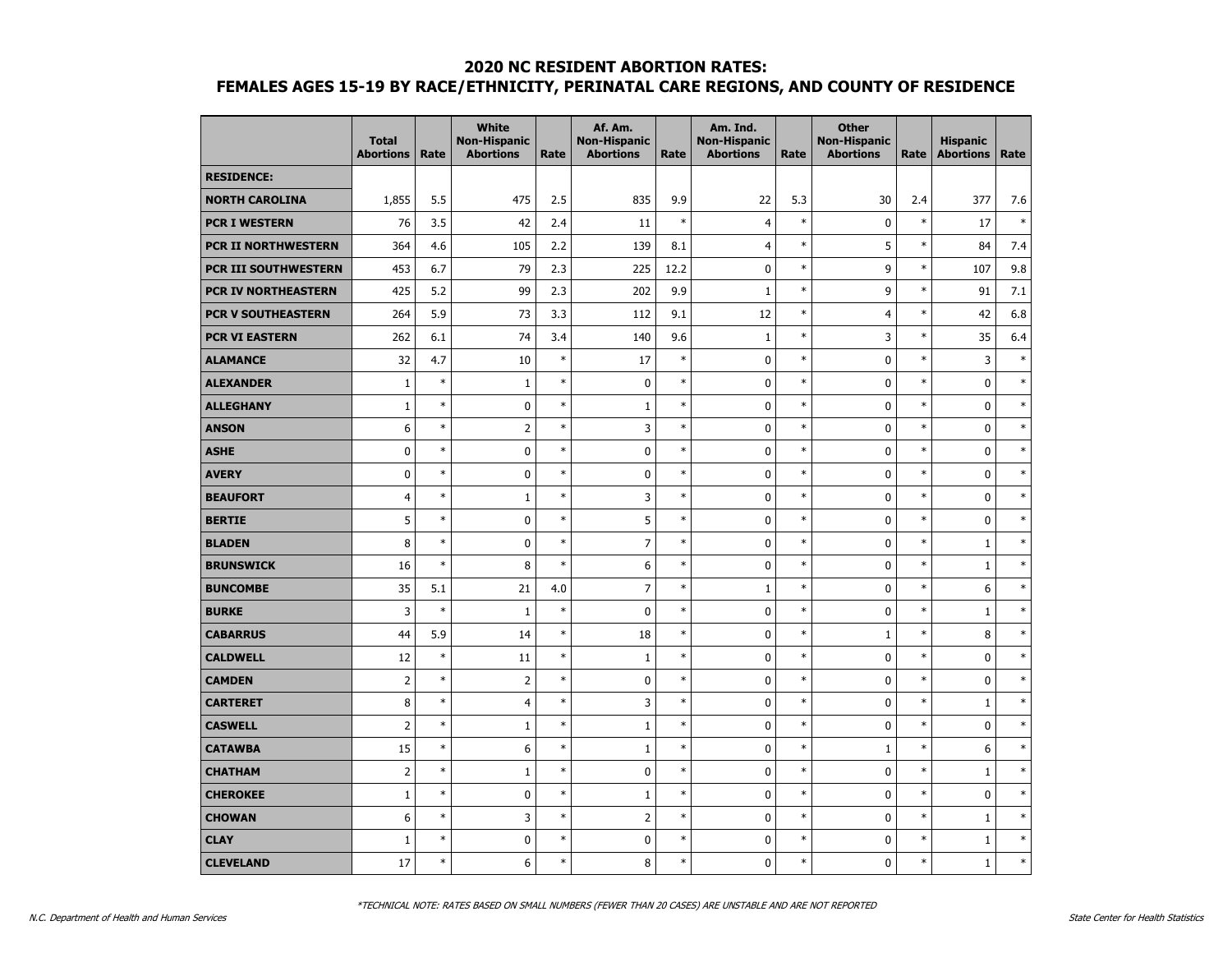|                            | <b>Total</b><br><b>Abortions</b> | Rate   | <b>White</b><br><b>Non-Hispanic</b><br><b>Abortions</b> | Rate   | Af. Am.<br><b>Non-Hispanic</b><br><b>Abortions</b> | Rate   | Am. Ind.<br><b>Non-Hispanic</b><br><b>Abortions</b> | Rate   | <b>Other</b><br><b>Non-Hispanic</b><br><b>Abortions</b> | Rate   | <b>Hispanic</b><br><b>Abortions</b> | Rate   |
|----------------------------|----------------------------------|--------|---------------------------------------------------------|--------|----------------------------------------------------|--------|-----------------------------------------------------|--------|---------------------------------------------------------|--------|-------------------------------------|--------|
| <b>RESIDENCE:</b>          |                                  |        |                                                         |        |                                                    |        |                                                     |        |                                                         |        |                                     |        |
| <b>NORTH CAROLINA</b>      | 1,855                            | 5.5    | 475                                                     | 2.5    | 835                                                | 9.9    | 22                                                  | 5.3    | 30                                                      | 2.4    | 377                                 | 7.6    |
| <b>PCR I WESTERN</b>       | 76                               | 3.5    | 42                                                      | 2.4    | 11                                                 | $\ast$ | $\overline{4}$                                      | $\ast$ | $\mathbf{0}$                                            | $\ast$ | 17                                  | $\ast$ |
| <b>PCR II NORTHWESTERN</b> | 364                              | 4.6    | 105                                                     | 2.2    | 139                                                | 8.1    | 4                                                   | $\ast$ | 5                                                       | $\ast$ | 84                                  | 7.4    |
| PCR III SOUTHWESTERN       | 453                              | 6.7    | 79                                                      | 2.3    | 225                                                | 12.2   | $\mathbf 0$                                         | $\ast$ | 9                                                       | $\ast$ | 107                                 | 9.8    |
| PCR IV NORTHEASTERN        | 425                              | 5.2    | 99                                                      | 2.3    | 202                                                | 9.9    | $\mathbf{1}$                                        | $\ast$ | 9                                                       | $\ast$ | 91                                  | 7.1    |
| <b>PCR V SOUTHEASTERN</b>  | 264                              | 5.9    | 73                                                      | 3.3    | 112                                                | 9.1    | 12                                                  | $\ast$ | $\overline{4}$                                          | $\ast$ | 42                                  | 6.8    |
| <b>PCR VI EASTERN</b>      | 262                              | 6.1    | 74                                                      | 3.4    | 140                                                | 9.6    | $1\,$                                               | $\ast$ | 3                                                       | $\ast$ | 35                                  | 6.4    |
| <b>ALAMANCE</b>            | 32                               | 4.7    | 10                                                      | $\ast$ | 17                                                 | $\ast$ | $\pmb{0}$                                           | $\ast$ | $\mathbf 0$                                             | $\ast$ | 3                                   | $\ast$ |
| <b>ALEXANDER</b>           | 1                                | $\ast$ | $\mathbf{1}$                                            | $\ast$ | $\mathbf 0$                                        | $\ast$ | $\pmb{0}$                                           | $\ast$ | $\mathbf 0$                                             | $\ast$ | 0                                   | $\ast$ |
| <b>ALLEGHANY</b>           | $\mathbf{1}$                     | $\ast$ | $\mathbf 0$                                             | $\ast$ | $\mathbf{1}$                                       | $\ast$ | $\mathbf 0$                                         | $\ast$ | $\mathbf 0$                                             | $\ast$ | $\mathbf 0$                         | $\ast$ |
| <b>ANSON</b>               | 6                                | $\ast$ | $\overline{2}$                                          | $\ast$ | 3                                                  | $\ast$ | $\mathbf 0$                                         | $\ast$ | $\mathbf{0}$                                            | $\ast$ | $\mathbf 0$                         | $\ast$ |
| <b>ASHE</b>                | $\mathbf 0$                      | $\ast$ | $\mathbf 0$                                             | $\ast$ | $\mathbf 0$                                        | $\ast$ | $\mathbf 0$                                         | $\ast$ | $\mathbf{0}$                                            | $\ast$ | 0                                   | $\ast$ |
| <b>AVERY</b>               | $\mathbf 0$                      | $\ast$ | $\mathbf 0$                                             | $\ast$ | $\mathbf 0$                                        | $\ast$ | $\mathbf 0$                                         | $\ast$ | $\mathbf{0}$                                            | $\ast$ | $\mathbf 0$                         | $\ast$ |
| <b>BEAUFORT</b>            | $\overline{4}$                   | $\ast$ | $\mathbf{1}$                                            | $\ast$ | 3                                                  | $\ast$ | $\pmb{0}$                                           | $\ast$ | $\mathbf{0}$                                            | $\ast$ | $\bf{0}$                            | $\ast$ |
| <b>BERTIE</b>              | 5                                | $\ast$ | $\mathbf 0$                                             | $\ast$ | 5                                                  | $\ast$ | $\pmb{0}$                                           | $\ast$ | $\mathbf{0}$                                            | $\ast$ | $\mathbf 0$                         | $\ast$ |
| <b>BLADEN</b>              | 8                                | $\ast$ | $\mathbf 0$                                             | $\ast$ | $\overline{7}$                                     | $\ast$ | $\pmb{0}$                                           | $\ast$ | $\mathbf 0$                                             | $\ast$ | $\mathbf{1}$                        | $\ast$ |
| <b>BRUNSWICK</b>           | 16                               | $\ast$ | 8                                                       | $\ast$ | 6                                                  | $\ast$ | $\mathbf 0$                                         | $\ast$ | $\mathbf 0$                                             | $\ast$ | $\mathbf 1$                         | $\ast$ |
| <b>BUNCOMBE</b>            | 35                               | 5.1    | 21                                                      | 4.0    | $\overline{7}$                                     | $\ast$ | $\mathbf{1}$                                        | $\ast$ | $\mathbf{0}$                                            | $\ast$ | 6                                   | $\ast$ |
| <b>BURKE</b>               | 3                                | $\ast$ | $\mathbf{1}$                                            | $\ast$ | $\mathbf 0$                                        | $\ast$ | $\mathbf 0$                                         | $\ast$ | $\mathbf{0}$                                            | $\ast$ | $\mathbf{1}$                        | $\ast$ |
| <b>CABARRUS</b>            | 44                               | 5.9    | 14                                                      | $\ast$ | 18                                                 | $\ast$ | $\pmb{0}$                                           | $\ast$ | $\mathbf{1}$                                            | $\ast$ | 8                                   | $\ast$ |
| <b>CALDWELL</b>            | 12                               | $\ast$ | 11                                                      | $\ast$ | $1\,$                                              | $\ast$ | $\mathbf 0$                                         | $\ast$ | $\mathbf 0$                                             | $\ast$ | $\mathbf 0$                         | $\ast$ |
| <b>CAMDEN</b>              | $\overline{2}$                   | $\ast$ | $\overline{2}$                                          | $\ast$ | $\mathbf 0$                                        | $\ast$ | $\mathbf 0$                                         | $\ast$ | $\mathbf 0$                                             | $\ast$ | $\mathbf 0$                         | $\ast$ |
| <b>CARTERET</b>            | 8                                | $\ast$ | $\overline{4}$                                          | $\ast$ | 3                                                  | $\ast$ | $\mathbf 0$                                         | $\ast$ | $\mathbf 0$                                             | $\ast$ | $\mathbf 1$                         | $\ast$ |
| <b>CASWELL</b>             | $\overline{2}$                   | $\ast$ | $\mathbf{1}$                                            | $\ast$ | $\mathbf{1}$                                       | $\ast$ | $\pmb{0}$                                           | $\ast$ | $\mathbf{0}$                                            | $\ast$ | $\mathbf 0$                         | $\ast$ |
| <b>CATAWBA</b>             | 15                               | $\ast$ | 6                                                       | $\ast$ | $\mathbf{1}$                                       | $\ast$ | 0                                                   | $\ast$ | $\mathbf{1}$                                            | $\ast$ | 6                                   | $\ast$ |
| <b>CHATHAM</b>             | $\overline{2}$                   | $\ast$ | $\mathbf{1}$                                            | $\ast$ | $\mathbf 0$                                        | $\ast$ | $\mathbf 0$                                         | $\ast$ | $\mathbf{0}$                                            | $\ast$ | $\mathbf{1}$                        | $\ast$ |
| <b>CHEROKEE</b>            | $1\,$                            | $\ast$ | $\pmb{0}$                                               | $\ast$ | $1\,$                                              | $\ast$ | $\mathbf 0$                                         | $\ast$ | $\mathbf{0}$                                            | $\ast$ | $\mathbf 0$                         | $\ast$ |
| <b>CHOWAN</b>              | 6                                | $\ast$ | 3                                                       | $\ast$ | $\overline{2}$                                     | $\ast$ | $\pmb{0}$                                           | $\ast$ | $\mathbf{0}$                                            | $\ast$ | 1                                   | $\ast$ |
| <b>CLAY</b>                | $\mathbf{1}$                     | $\ast$ | $\mathbf 0$                                             | $\ast$ | $\mathbf 0$                                        | $\ast$ | $\mathbf 0$                                         | $\ast$ | $\mathbf 0$                                             | $\ast$ | $\mathbf 1$                         | $\ast$ |
| <b>CLEVELAND</b>           | 17                               | $\ast$ | 6                                                       | $\ast$ | 8                                                  | $\ast$ | $\mathbf{0}$                                        | $\ast$ | $\mathbf{0}$                                            | $\ast$ | $\mathbf{1}$                        | $\ast$ |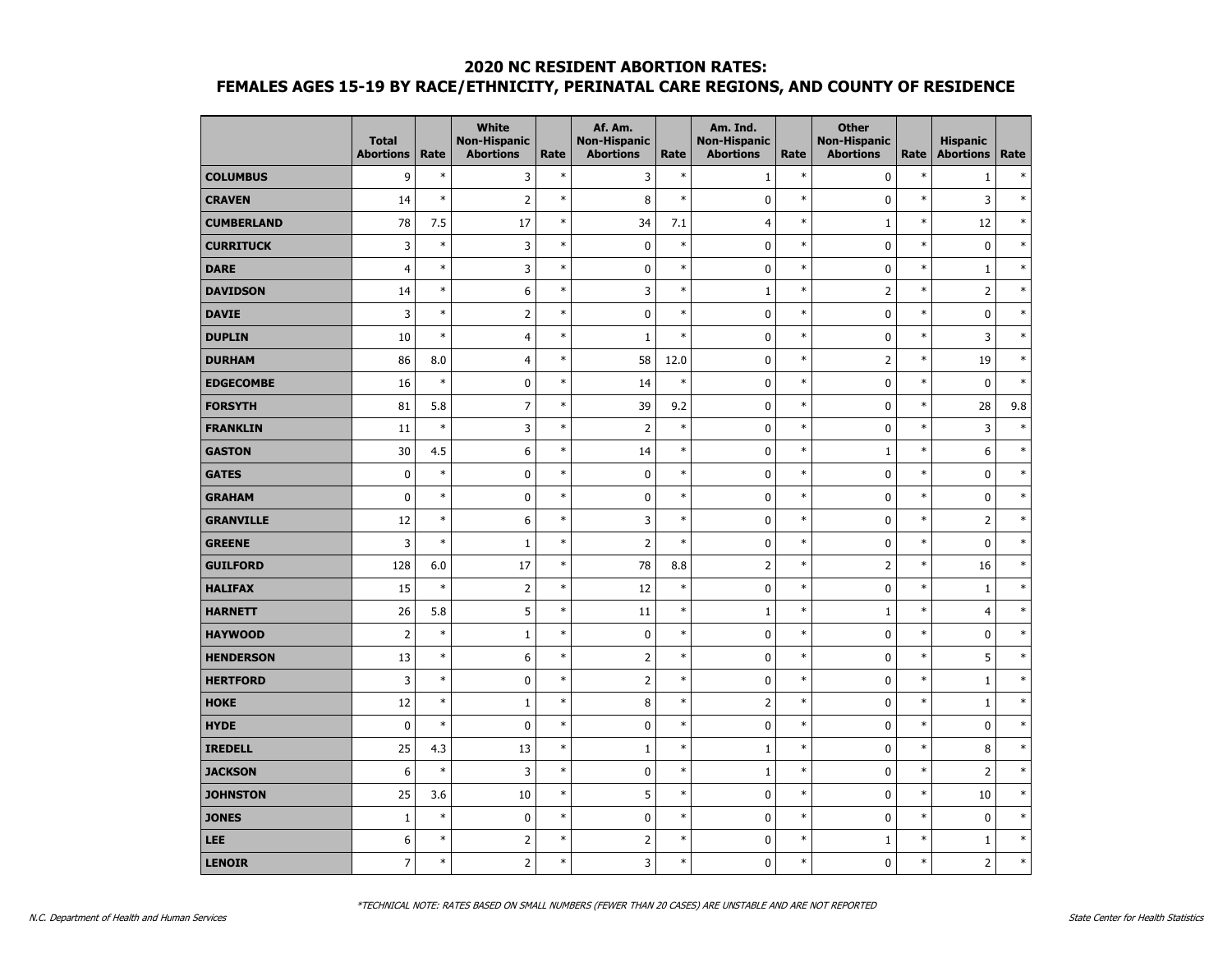|                   | <b>Total</b><br><b>Abortions</b> | Rate   | <b>White</b><br><b>Non-Hispanic</b><br><b>Abortions</b> | Rate   | Af. Am.<br><b>Non-Hispanic</b><br><b>Abortions</b> | Rate   | Am. Ind.<br><b>Non-Hispanic</b><br><b>Abortions</b> | Rate   | <b>Other</b><br><b>Non-Hispanic</b><br><b>Abortions</b> | Rate   | <b>Hispanic</b><br><b>Abortions</b> | Rate   |
|-------------------|----------------------------------|--------|---------------------------------------------------------|--------|----------------------------------------------------|--------|-----------------------------------------------------|--------|---------------------------------------------------------|--------|-------------------------------------|--------|
| <b>COLUMBUS</b>   | 9                                | $\ast$ | 3                                                       | $\ast$ | 3                                                  | $\ast$ | $\mathbf 1$                                         | $\ast$ | $\pmb{0}$                                               | $\ast$ | $1\,$                               | $\ast$ |
| <b>CRAVEN</b>     | 14                               | $\ast$ | $\overline{2}$                                          | $\ast$ | 8                                                  | $\ast$ | 0                                                   | $\ast$ | $\mathbf 0$                                             | $\ast$ | 3                                   | $\ast$ |
| <b>CUMBERLAND</b> | 78                               | 7.5    | 17                                                      | $\ast$ | 34                                                 | 7.1    | $\overline{4}$                                      | $\ast$ | $\mathbf{1}$                                            | $\ast$ | 12                                  | $\ast$ |
| <b>CURRITUCK</b>  | 3                                | $\ast$ | 3                                                       | $\ast$ | $\pmb{0}$                                          | $\ast$ | 0                                                   | $\ast$ | 0                                                       | $\ast$ | 0                                   | $\ast$ |
| <b>DARE</b>       | $\overline{4}$                   | $\ast$ | 3                                                       | $\ast$ | $\pmb{0}$                                          | $\ast$ | 0                                                   | $\ast$ | $\pmb{0}$                                               | $\ast$ | $\mathbf{1}$                        | $\ast$ |
| <b>DAVIDSON</b>   | 14                               | $\ast$ | 6                                                       | $\ast$ | 3                                                  | $\ast$ | $\mathbf 1$                                         | $\ast$ | $\overline{2}$                                          | $\ast$ | $\overline{2}$                      | $\ast$ |
| <b>DAVIE</b>      | 3                                | $\ast$ | $\overline{2}$                                          | $\ast$ | $\pmb{0}$                                          | $\ast$ | 0                                                   | $\ast$ | $\pmb{0}$                                               | $\ast$ | $\pmb{0}$                           | $\ast$ |
| <b>DUPLIN</b>     | 10                               | $\ast$ | $\overline{4}$                                          | $\ast$ | $\mathbf{1}$                                       | $\ast$ | 0                                                   | $\ast$ | 0                                                       | $\ast$ | 3                                   | $\ast$ |
| <b>DURHAM</b>     | 86                               | 8.0    | $\overline{4}$                                          | $\ast$ | 58                                                 | 12.0   | 0                                                   | $\ast$ | $\overline{2}$                                          | $\ast$ | 19                                  | $\ast$ |
| <b>EDGECOMBE</b>  | 16                               | $\ast$ | $\mathbf 0$                                             | $\ast$ | 14                                                 | $\ast$ | 0                                                   | $\ast$ | 0                                                       | $\ast$ | $\mathbf 0$                         | $\ast$ |
| <b>FORSYTH</b>    | 81                               | 5.8    | $\overline{7}$                                          | $\ast$ | 39                                                 | 9.2    | 0                                                   | $\ast$ | $\pmb{0}$                                               | $\ast$ | 28                                  | 9.8    |
| <b>FRANKLIN</b>   | 11                               | $\ast$ | 3                                                       | $\ast$ | $\overline{2}$                                     | $\ast$ | 0                                                   | $\ast$ | 0                                                       | $\ast$ | $\overline{3}$                      | $\ast$ |
| <b>GASTON</b>     | 30                               | 4.5    | 6                                                       | $\ast$ | 14                                                 | $\ast$ | 0                                                   | $\ast$ | $\mathbf{1}$                                            | $\ast$ | 6                                   | $\ast$ |
| <b>GATES</b>      | $\pmb{0}$                        | $\ast$ | 0                                                       | $\ast$ | $\pmb{0}$                                          | $\ast$ | 0                                                   | $\ast$ | 0                                                       | $\ast$ | $\bf{0}$                            | $\ast$ |
| <b>GRAHAM</b>     | $\pmb{0}$                        | $\ast$ | $\pmb{0}$                                               | $\ast$ | $\pmb{0}$                                          | $\ast$ | 0                                                   | $\ast$ | $\pmb{0}$                                               | $\ast$ | $\pmb{0}$                           | $\ast$ |
| <b>GRANVILLE</b>  | 12                               | $\ast$ | 6                                                       | $\ast$ | 3                                                  | $\ast$ | 0                                                   | $\ast$ | $\pmb{0}$                                               | $\ast$ | $\overline{2}$                      | $\ast$ |
| <b>GREENE</b>     | 3                                | $\ast$ | $\mathbf{1}$                                            | $\ast$ | $\overline{2}$                                     | $\ast$ | 0                                                   | $\ast$ | 0                                                       | $\ast$ | 0                                   | $\ast$ |
| <b>GUILFORD</b>   | 128                              | 6.0    | 17                                                      | $\ast$ | 78                                                 | 8.8    | $\overline{2}$                                      | $\ast$ | $\overline{2}$                                          | $\ast$ | 16                                  | $\ast$ |
| <b>HALIFAX</b>    | 15                               | $\ast$ | $\overline{2}$                                          | $\ast$ | 12                                                 | $\ast$ | 0                                                   | $\ast$ | $\mathbf 0$                                             | $\ast$ | $\mathbf{1}$                        | $\ast$ |
| <b>HARNETT</b>    | 26                               | 5.8    | 5                                                       | $\ast$ | 11                                                 | $\ast$ | $\mathbf 1$                                         | $\ast$ | $\mathbf{1}$                                            | $\ast$ | $\overline{4}$                      | $\ast$ |
| <b>HAYWOOD</b>    | $\overline{2}$                   | $\ast$ | $\mathbf 1$                                             | $\ast$ | $\pmb{0}$                                          | $\ast$ | 0                                                   | $\ast$ | $\pmb{0}$                                               | $\ast$ | $\pmb{0}$                           | $\ast$ |
| <b>HENDERSON</b>  | 13                               | $\ast$ | 6                                                       | $\ast$ | $\overline{2}$                                     | $\ast$ | 0                                                   | $\ast$ | 0                                                       | $\ast$ | 5                                   | $\ast$ |
| <b>HERTFORD</b>   | 3                                | $\ast$ | 0                                                       | $\ast$ | $\overline{2}$                                     | $\ast$ | $\mathbf 0$                                         | $\ast$ | 0                                                       | $\ast$ | $\mathbf{1}$                        | $\ast$ |
| <b>HOKE</b>       | 12                               | $\ast$ | $\mathbf{1}$                                            | $\ast$ | 8                                                  | $\ast$ | $\overline{2}$                                      | $\ast$ | $\mathbf 0$                                             | $\ast$ | $\mathbf{1}$                        | $\ast$ |
| <b>HYDE</b>       | $\pmb{0}$                        | $\ast$ | $\pmb{0}$                                               | $\ast$ | $\pmb{0}$                                          | $\ast$ | 0                                                   | $\ast$ | $\pmb{0}$                                               | $\ast$ | $\pmb{0}$                           | $\ast$ |
| <b>IREDELL</b>    | 25                               | 4.3    | 13                                                      | $\ast$ | $1\,$                                              | $\ast$ | $1\,$                                               | $\ast$ | $\pmb{0}$                                               | $\ast$ | 8                                   | $\ast$ |
| <b>JACKSON</b>    | 6                                | $\ast$ | 3                                                       | $\ast$ | $\pmb{0}$                                          | $\ast$ | $1\,$                                               | $\ast$ | 0                                                       | $\ast$ | $\overline{2}$                      | $\ast$ |
| <b>JOHNSTON</b>   | 25                               | 3.6    | 10                                                      | $\ast$ | 5                                                  | $\ast$ | 0                                                   | $\ast$ | 0                                                       | $\ast$ | 10                                  | $\ast$ |
| <b>JONES</b>      | $\mathbf{1}$                     | $\ast$ | 0                                                       | $\ast$ | $\pmb{0}$                                          | $\ast$ | 0                                                   | $\ast$ | 0                                                       | $\ast$ | $\mathbf 0$                         | $\ast$ |
| <b>LEE</b>        | 6                                | $\ast$ | $\overline{2}$                                          | $\ast$ | $\mathsf 2$                                        | $\ast$ | 0                                                   | $\ast$ | $\mathbf{1}$                                            | $\ast$ | $1\,$                               | $\ast$ |
| <b>LENOIR</b>     | $\overline{7}$                   | $\ast$ | $\overline{2}$                                          | $\ast$ | 3                                                  | $\ast$ | $\mathbf 0$                                         | $\ast$ | 0                                                       | $\ast$ | $\overline{2}$                      | $\ast$ |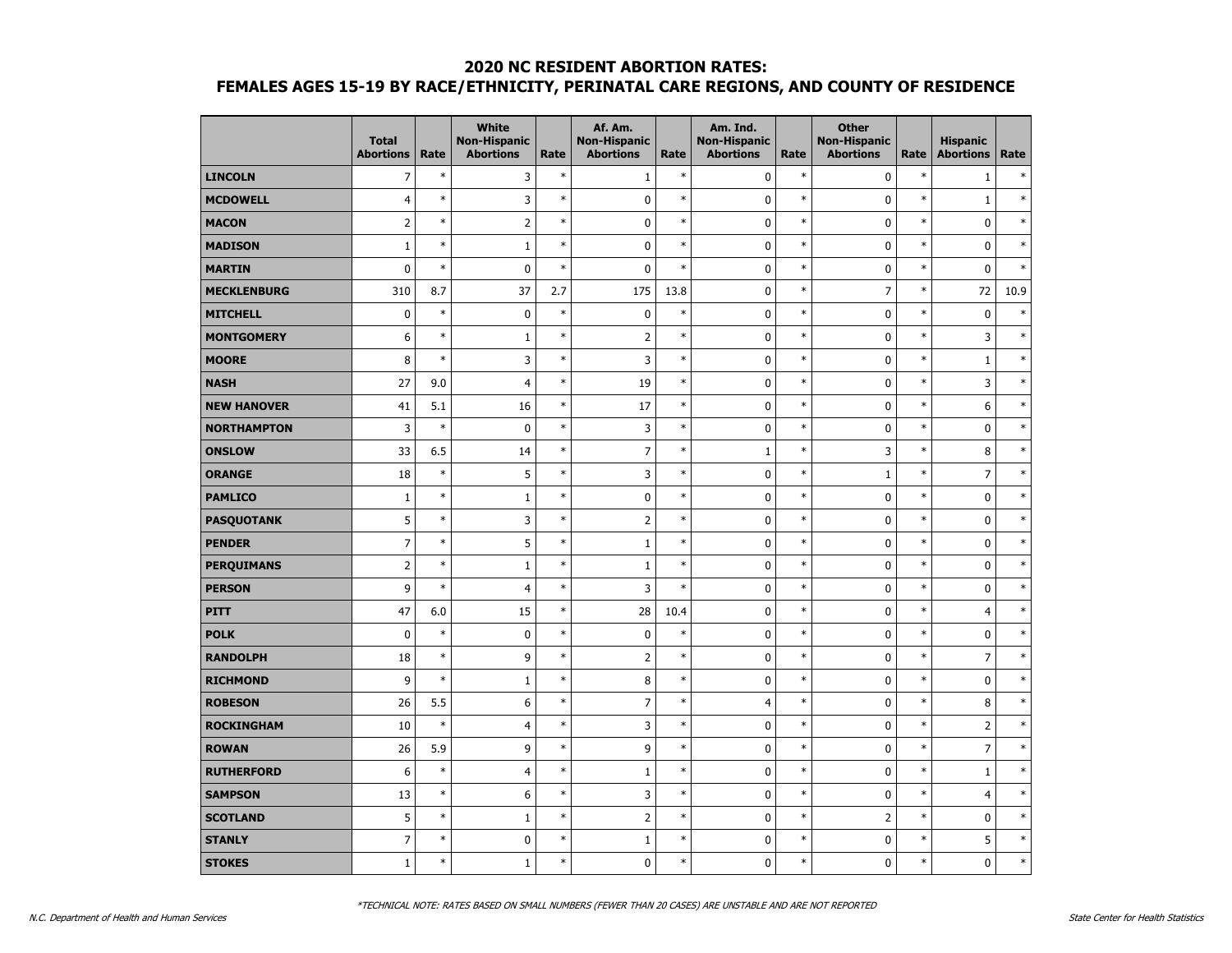|                    | <b>Total</b><br><b>Abortions</b> | Rate   | <b>White</b><br><b>Non-Hispanic</b><br><b>Abortions</b> | Rate   | Af. Am.<br><b>Non-Hispanic</b><br><b>Abortions</b> | Rate   | Am. Ind.<br><b>Non-Hispanic</b><br><b>Abortions</b> | Rate   | <b>Other</b><br><b>Non-Hispanic</b><br><b>Abortions</b> | Rate   | <b>Hispanic</b><br><b>Abortions</b> | Rate   |
|--------------------|----------------------------------|--------|---------------------------------------------------------|--------|----------------------------------------------------|--------|-----------------------------------------------------|--------|---------------------------------------------------------|--------|-------------------------------------|--------|
| <b>LINCOLN</b>     | $\overline{7}$                   | $\ast$ | 3                                                       | $\ast$ | $\mathbf{1}$                                       | $\ast$ | 0                                                   | $\ast$ | $\mathbf 0$                                             | $\ast$ | $\mathbf 1$                         | $\ast$ |
| <b>MCDOWELL</b>    | $\overline{4}$                   | $\ast$ | 3                                                       | $\ast$ | $\pmb{0}$                                          | $\ast$ | 0                                                   | $\ast$ | $\pmb{0}$                                               | $\ast$ | $1\,$                               | $\ast$ |
| <b>MACON</b>       | $\overline{2}$                   | $\ast$ | $\overline{2}$                                          | $\ast$ | $\pmb{0}$                                          | $\ast$ | 0                                                   | $\ast$ | $\pmb{0}$                                               | $\ast$ | $\pmb{0}$                           | $\ast$ |
| <b>MADISON</b>     | $1\,$                            | $\ast$ | $\mathbf{1}$                                            | $\ast$ | 0                                                  | $\ast$ | 0                                                   | $\ast$ | 0                                                       | $\ast$ | 0                                   | $\ast$ |
| <b>MARTIN</b>      | $\mathbf 0$                      | $\ast$ | $\mathbf 0$                                             | $\ast$ | $\mathbf 0$                                        | $\ast$ | 0                                                   | $\ast$ | 0                                                       | $\ast$ | $\mathbf 0$                         | $\ast$ |
| <b>MECKLENBURG</b> | 310                              | 8.7    | 37                                                      | 2.7    | 175                                                | 13.8   | 0                                                   | $\ast$ | $\overline{7}$                                          | $\ast$ | 72                                  | 10.9   |
| <b>MITCHELL</b>    | $\mathbf 0$                      | $\ast$ | $\mathbf 0$                                             | $\ast$ | $\mathbf 0$                                        | $\ast$ | $\mathbf 0$                                         | $\ast$ | $\mathbf 0$                                             | $\ast$ | $\mathbf 0$                         | $\ast$ |
| <b>MONTGOMERY</b>  | 6                                | $\ast$ | $1\,$                                                   | $\ast$ | $\overline{2}$                                     | $\ast$ | $\pmb{0}$                                           | $\ast$ | $\mathbf 0$                                             | $\ast$ | 3                                   | $\ast$ |
| <b>MOORE</b>       | 8                                | $\ast$ | 3                                                       | $\ast$ | 3                                                  | $\ast$ | 0                                                   | $\ast$ | 0                                                       | $\ast$ | $\mathbf 1$                         | $\ast$ |
| <b>NASH</b>        | 27                               | 9.0    | 4                                                       | $\ast$ | 19                                                 | $\ast$ | $\pmb{0}$                                           | $\ast$ | $\pmb{0}$                                               | $\ast$ | 3                                   | $\ast$ |
| <b>NEW HANOVER</b> | 41                               | 5.1    | 16                                                      | $\ast$ | 17                                                 | $\ast$ | 0                                                   | $\ast$ | $\pmb{0}$                                               | $\ast$ | 6                                   | $\ast$ |
| <b>NORTHAMPTON</b> | 3                                | $\ast$ | $\pmb{0}$                                               | $\ast$ | 3                                                  | $\ast$ | $\pmb{0}$                                           | $\ast$ | $\mathbf 0$                                             | $\ast$ | $\pmb{0}$                           | $\ast$ |
| <b>ONSLOW</b>      | 33                               | 6.5    | 14                                                      | $\ast$ | $\overline{7}$                                     | $\ast$ | $\mathbf{1}$                                        | $\ast$ | 3                                                       | $\ast$ | 8                                   | $\ast$ |
| <b>ORANGE</b>      | 18                               | $\ast$ | 5                                                       | $\ast$ | 3                                                  | $\ast$ | 0                                                   | $\ast$ | $\mathbf{1}$                                            | $\ast$ | $\overline{7}$                      | $\ast$ |
| <b>PAMLICO</b>     | $\mathbf 1$                      | $\ast$ | $\mathbf 1$                                             | $\ast$ | $\pmb{0}$                                          | $\ast$ | 0                                                   | $\ast$ | $\pmb{0}$                                               | $\ast$ | $\pmb{0}$                           | $\ast$ |
| <b>PASQUOTANK</b>  | 5                                | $\ast$ | 3                                                       | $\ast$ |                                                    | $\ast$ | 0                                                   | $\ast$ | $\mathbf 0$                                             | $\ast$ | $\pmb{0}$                           | $\ast$ |
| <b>PENDER</b>      | $\overline{7}$                   | $\ast$ | 5                                                       | $\ast$ | $\mathbf 1$                                        | $\ast$ | $\pmb{0}$                                           | $\ast$ | 0                                                       | $\ast$ | $\pmb{0}$                           | $\ast$ |
| <b>PERQUIMANS</b>  | $\overline{2}$                   | $\ast$ | $\mathbf{1}$                                            | $\ast$ | $\mathbf 1$                                        | $\ast$ | 0                                                   | $\ast$ | $\mathbf 0$                                             | $\ast$ | $\mathbf 0$                         | $\ast$ |
| <b>PERSON</b>      | 9                                | $\ast$ | $\overline{4}$                                          | $\ast$ | 3                                                  | $\ast$ | 0                                                   | $\ast$ | $\mathbf 0$                                             | $\ast$ | $\mathbf 0$                         | $\ast$ |
| <b>PITT</b>        | 47                               | 6.0    | 15                                                      | $\ast$ | 28                                                 | 10.4   | 0                                                   | $\ast$ | $\mathbf 0$                                             | $\ast$ | $\overline{4}$                      | $\ast$ |
| <b>POLK</b>        | $\pmb{0}$                        | $\ast$ | $\pmb{0}$                                               | $\ast$ | $\pmb{0}$                                          | $\ast$ | 0                                                   | $\ast$ | $\pmb{0}$                                               | $\ast$ | $\pmb{0}$                           | $\ast$ |
| <b>RANDOLPH</b>    | 18                               | $\ast$ | 9                                                       | $\ast$ | $\overline{2}$                                     | $\ast$ | 0                                                   | $\ast$ | $\mathbf 0$                                             | $\ast$ | $\overline{7}$                      | $\ast$ |
| <b>RICHMOND</b>    | 9                                | $\ast$ | $1\,$                                                   | $\ast$ | 8                                                  | $\ast$ | $\pmb{0}$                                           | $\ast$ | $\mathbf 0$                                             | $\ast$ | $\pmb{0}$                           | $\ast$ |
| <b>ROBESON</b>     | 26                               | 5.5    | 6                                                       | $\ast$ | $\overline{7}$                                     | $\ast$ | $\overline{4}$                                      | $\ast$ | $\mathbf 0$                                             | $\ast$ | 8                                   | $\ast$ |
| <b>ROCKINGHAM</b>  | 10                               | $\ast$ | 4                                                       | $\ast$ | 3                                                  | $\ast$ | 0                                                   | $\ast$ | $\pmb{0}$                                               | $\ast$ | $\overline{2}$                      | $\ast$ |
| <b>ROWAN</b>       | 26                               | 5.9    | 9                                                       | $\ast$ | 9                                                  | $\ast$ | 0                                                   | $\ast$ | $\mathbf 0$                                             | $\ast$ | $\overline{7}$                      | $\ast$ |
| <b>RUTHERFORD</b>  | $\boldsymbol{6}$                 | $\ast$ | $\overline{4}$                                          | $\ast$ | $\mathbf 1$                                        | $\ast$ | 0                                                   | $\ast$ | $\mathbf 0$                                             | $\ast$ | $\mathbf 1$                         | $\ast$ |
| <b>SAMPSON</b>     | 13                               | $\ast$ | 6                                                       | $\ast$ | 3                                                  | $\ast$ | 0                                                   | $\ast$ | $\pmb{0}$                                               | $\ast$ | $\overline{4}$                      | $\ast$ |
| <b>SCOTLAND</b>    | 5                                | $\ast$ | $\mathbf{1}$                                            | $\ast$ |                                                    | $\ast$ | 0                                                   | $\ast$ | $\overline{2}$                                          | $\ast$ | $\pmb{0}$                           | $\ast$ |
| <b>STANLY</b>      | $\overline{7}$                   | $\ast$ | $\pmb{0}$                                               | $\ast$ | $\mathbf 1$                                        | $\ast$ | 0                                                   | $\ast$ | 0                                                       | $\ast$ | 5                                   | $\ast$ |
| <b>STOKES</b>      | $\mathbf{1}$                     | $\ast$ | $\mathbf{1}$                                            | $\ast$ | $\mathbf{0}$                                       | $\ast$ | $\mathbf{0}$                                        | $\ast$ | $\mathbf{0}$                                            | $\ast$ | $\mathbf{0}$                        | $\ast$ |